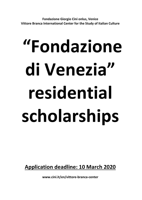Fondazione Giorgio Cini onlus, Venice Vittore Branca International Center for the Study of Italian Culture

# "Fondazione di Venezia" residential scholarships

Application deadline: 10 March 2020

www.cini.it/en/vittore-branca-center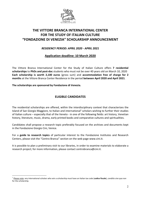

# THE VITTORE BRANCA INTERNATIONAL CENTER FOR THE STUDY OF ITALIAN CULTURE "FONDAZIONE DI VENEZIA" SCHOLARSHIP ANNOUNCEMENT

### RESIDENCY PERIOD: APRIL 2020 - APRIL 2021

### Application deadline: 10 March 2020

The Vittore Branca International Center for the Study of Italian Culture offers 7 residential scholarships to PhDs and post-doc students who must not be over 40 years old on March 10, 2020 Each scholarship is worth 2,100 euros (gross sum) and accommodation free of charge for 2 months at the Vittore Branca Center Residence in the period between April 2020 and April 2021.

The scholarships are sponsored by Fondazione di Venezia.

l.

### ELIGIBLE CANDIDATES

The residential scholarships are offered, within the interdisciplinary context that characterizes the Island of San Giorgio Maggiore, to Italian and international<sup>1</sup> scholars wishing to further their studies of Italian culture – especially that of the Veneto - in one of the following fields: art history, Venetian history, literature, music, drama, early printed books and comparative cultures and spiritualities.

Candidates shall propose a research topic preferably focused on the archives and documents kept in the Fondazione Giorgio Cini, Venice.

For a guide to research topics of particular interest to the Fondazione Institutes and Research Centers, please visit the "Centro Branca" section on the web page www.cini.it.

It is possible to plan a preliminary visit to our libraries, in order to examine materials to elaborate a research project; for more information, please contact centrobranca@cini.it.

 $1$  Please note: any international scholars who win a scholarship must have an Italian tax code (codice fiscale), conditio sine qua non for the scholarship.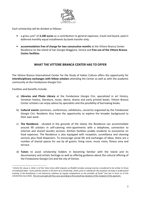

Each scholarship will be divided as follows:

- $\bullet$  a gross sum<sup>2</sup> of 2,100 euros as a contribution to general expenses, travel and board, paid in deferred monthly equal installments by bank transfer only;
- accommodation free of charge for two consecutive months at the Vittore Branca Center Residence on the Island of San Giorgio Maggiore, Venice and free use of the Vittore Branca Center facilities.

### WHAT THE VITTORE BRANCA CENTER HAS TO OFFER

The Vittore Branca International Center for the Study of Italian Culture offers the opportunity for interdisciplinary exchanges with fellow scholars attending the Center as well as with the academic community at the Fondazione Giorgio Cini.

Facilities and benefits include:

l.

- a) Libraries and Photo Library at the Fondazione Giorgio Cini, specialized in art history, Venetian history, literature, music, dance, drama and early printed books. Vittore Branca Center scholars can enjoy advice by specialists and the possibility of borrowing books.
- b) **Cultural events** (seminars, conferences, exhibitions, concerts) organized by the Fondazione Giorgio Cini. Residents thus have the opportunity to explore the broader background to their own work.
- c) The Residence situated in the grounds of the Island, the Residence can accommodate around 90 scholars in self-catering mini-apartments with a telephone, connection to Internet and shared laundry services. Kitchen facilities enable residents to economize on food expenses. The Residence is also equipped with reception, surveillance and cleaning services plus food dispensers. To encourage social life and exchanges of ideas, there are a number of shared spaces for use by all guests: living room, music room, fitness area and terrace.
- d) Tutors to assist scholarship holders in becoming familiar with the Island and its documentary and artistic heritage as well as offering guidance about the cultural offering of the Fondazione Giorgio Cini and the city of Venice.

<sup>&</sup>lt;sup>2</sup> Article 50, clause 1, letter c) of the Testo Unico delle Imposte sui Redditi includes among incomes considered to be similar to those of employed labor "sums paid by anyone in the form of a scholarship, check, prize or subsidy for the purposes of study or professional training, if the beneficiary is not bound by relations of regular employment to the provider of funds" (tax law in force as of this scholarship issue date). The net sum paid will thus vary according to the overall tax situation of the recipient of the payment.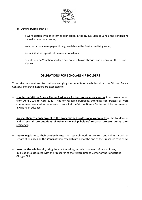

- e) Other services, such as:
	- a work station with an Internet connection in the Nuova Manica Lunga, the Fondazione main documentary center;
	- an international newspaper library, available in the Residence living room;
	- social initiatives specifically aimed at residents;
	- orientation on Venetian heritage and on how to use libraries and archives in the city of Venice.

### OBLIGATIONS FOR SCHOLARSHIP HOLDERS

To receive payment and to continue enjoying the benefits of a scholarship at the Vittore Branca Center, scholarship holders are expected to:

- stay in the Vittore Branca Center Residence for two consecutive months in a chosen period from April 2020 to April 2021. Trips for research purposes, attending conferences or work commitments related to the research project at the Vittore Branca Center must be documented in writing in advance.
- present their research project to the academic and professional community at the Fondazione and attend all presentations of other scholarship holders' research projects during their residency;
- report regularly to their academic tutor on research work in progress and submit a written report of 10 pages on the status of their research project at the end of their research residency;
- mention the scholarship, using the exact wording, in their curriculum vitae and in any publications associated with their research at the Vittore Branca Center of the Fondazione Giorgio Cini.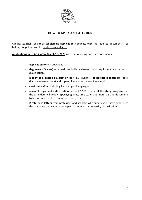

## HOW TO APPLY AND SELECTION

Candidates shall send their scholarship application, complete with the required documents (see below), in .pdf version to: centrobranca@cini.it

Applications must be sent by March 10, 2020 with the following enclosed documents:

- application form download:
- degree certificate(s) with marks for individual exams, or an equivalent or superior qualification ;
- a copy of a degree dissertation (for PhD students) or doctorate thesis (for postdoctorate researchers) and copies of any other relevant academic;
- **curriculum vitae**, including knowledge of languages;
- research topic and a description (around 1,500 words) of the study program that the candidate will follow, specifying aims, time scale, and materials and documents to be consulted at the Fondazione Giorgio Cini;
- 2 reference letters from professors and scholars who supervise or have supervised the candidate on headed notepaper of the relevant university or institution.